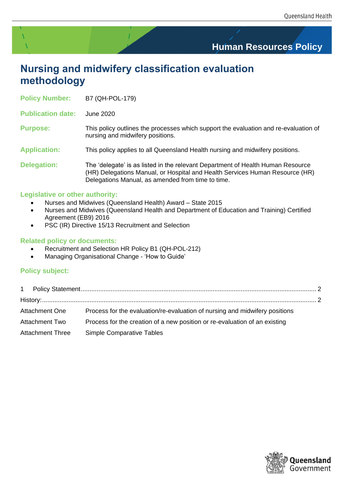# **Human Resources Policy**

# **Nursing and midwifery classification evaluation methodology**

**Policy Number:** B7 (QH-POL-179)

**Publication date:** June 2020

**Purpose:** This policy outlines the processes which support the evaluation and re-evaluation of nursing and midwifery positions.

**Application:** This policy applies to all Queensland Health nursing and midwifery positions.

**Delegation:** The 'delegate' is as listed in the relevant Department of Health Human Resource (HR) Delegations Manual, or Hospital and Health Services Human Resource (HR) Delegations Manual, as amended from time to time.

## **Legislative or other authority:**

- Nurses and Midwives (Queensland Health) Award State 2015
- Nurses and Midwives (Queensland Health and Department of Education and Training) Certified Agreement (EB9) 2016
- PSC (IR) Directive 15/13 Recruitment and Selection

## **Related policy or documents:**

- Recruitment and Selection HR Policy B1 (QH-POL-212)
- Managing Organisational Change 'How to Guide'

# **Policy subject:**

| Process for the evaluation/re-evaluation of nursing and midwifery positions |
|-----------------------------------------------------------------------------|

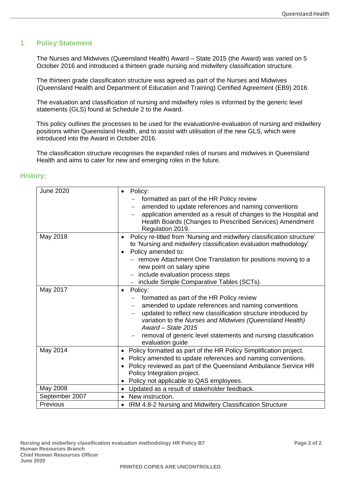## <span id="page-1-0"></span>**1 Policy Statement**

The Nurses and Midwives (Queensland Health) Award – State 2015 (the Award) was varied on 5 October 2016 and introduced a thirteen grade nursing and midwifery classification structure.

The thirteen grade classification structure was agreed as part of the Nurses and Midwives (Queensland Health and Department of Education and Training) Certified Agreement (EB9) 2016*.*

The evaluation and classification of nursing and midwifery roles is informed by the generic level statements (GLS) found at Schedule 2 to the Award.

This policy outlines the processes to be used for the evaluation/re-evaluation of nursing and midwifery positions within Queensland Health, and to assist with utilisation of the new GLS, which were introduced into the Award in October 2016.

The classification structure recognises the expanded roles of nurses and midwives in Queensland Health and aims to cater for new and emerging roles in the future.

| <b>June 2020</b> | Policy:<br>$\bullet$<br>formatted as part of the HR Policy review<br>amended to update references and naming conventions<br>application amended as a result of changes to the Hospital and<br>Health Boards (Changes to Prescribed Services) Amendment<br>Regulation 2019.                                                                                                                              |
|------------------|---------------------------------------------------------------------------------------------------------------------------------------------------------------------------------------------------------------------------------------------------------------------------------------------------------------------------------------------------------------------------------------------------------|
| May 2018         | Policy re-titled from 'Nursing and midwifery classification structure'<br>$\bullet$<br>to 'Nursing and midwifery classification evaluation methodology'<br>Policy amended to:<br>$\bullet$<br>- remove Attachment One Translation for positions moving to a<br>new point on salary spine<br>include evaluation process steps<br>$\overline{\phantom{m}}$<br>- include Simple Comparative Tables (SCTs). |
| May 2017         | Policy:<br>$\bullet$<br>formatted as part of the HR Policy review<br>amended to update references and naming conventions<br>updated to reflect new classification structure introduced by<br>variation to the Nurses and Midwives (Queensland Health)<br>Award - State 2015<br>removal of generic level statements and nursing classification<br>evaluation guide                                       |
| May 2014         | Policy formatted as part of the HR Policy Simplification project.<br>٠<br>Policy amended to update references and naming conventions.<br>$\bullet$<br>Policy reviewed as part of the Queensland Ambulance Service HR<br>$\bullet$<br>Policy Integration project.<br>Policy not applicable to QAS employees.<br>$\bullet$                                                                                |
| May 2008         | Updated as a result of stakeholder feedback.<br>$\bullet$                                                                                                                                                                                                                                                                                                                                               |
| September 2007   | New instruction.<br>$\bullet$                                                                                                                                                                                                                                                                                                                                                                           |
| Previous         | IRM 4.8-2 Nursing and Midwifery Classification Structure                                                                                                                                                                                                                                                                                                                                                |

## <span id="page-1-1"></span>**History:**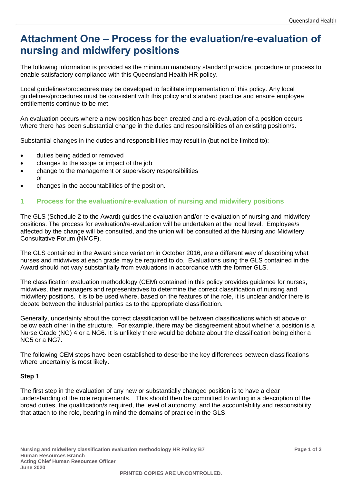# <span id="page-2-0"></span>**Attachment One – Process for the evaluation/re-evaluation of nursing and midwifery positions**

The following information is provided as the minimum mandatory standard practice, procedure or process to enable satisfactory compliance with this Queensland Health HR policy.

Local guidelines/procedures may be developed to facilitate implementation of this policy. Any local guidelines/procedures must be consistent with this policy and standard practice and ensure employee entitlements continue to be met.

An evaluation occurs where a new position has been created and a re-evaluation of a position occurs where there has been substantial change in the duties and responsibilities of an existing position/s.

Substantial changes in the duties and responsibilities may result in (but not be limited to):

- duties being added or removed
- changes to the scope or impact of the job
- change to the management or supervisory responsibilities or
- changes in the accountabilities of the position.

## **1 Process for the evaluation/re-evaluation of nursing and midwifery positions**

The GLS (Schedule 2 to the Award) guides the evaluation and/or re-evaluation of nursing and midwifery positions. The process for evaluation/re-evaluation will be undertaken at the local level. Employee/s affected by the change will be consulted, and the union will be consulted at the Nursing and Midwifery Consultative Forum (NMCF).

The GLS contained in the Award since variation in October 2016, are a different way of describing what nurses and midwives at each grade may be required to do. Evaluations using the GLS contained in the Award should not vary substantially from evaluations in accordance with the former GLS.

The classification evaluation methodology (CEM) contained in this policy provides guidance for nurses, midwives, their managers and representatives to determine the correct classification of nursing and midwifery positions. It is to be used where, based on the features of the role, it is unclear and/or there is debate between the industrial parties as to the appropriate classification.

Generally, uncertainty about the correct classification will be between classifications which sit above or below each other in the structure. For example, there may be disagreement about whether a position is a Nurse Grade (NG) 4 or a NG6. It is unlikely there would be debate about the classification being either a NG5 or a NG7.

The following CEM steps have been established to describe the key differences between classifications where uncertainly is most likely.

### **Step 1**

The first step in the evaluation of any new or substantially changed position is to have a clear understanding of the role requirements. This should then be committed to writing in a description of the broad duties, the qualification/s required, the level of autonomy, and the accountability and responsibility that attach to the role, bearing in mind the domains of practice in the GLS.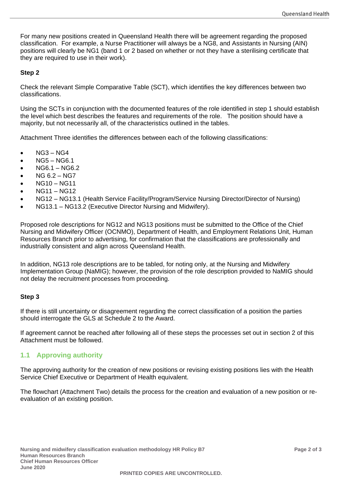For many new positions created in Queensland Health there will be agreement regarding the proposed classification. For example, a Nurse Practitioner will always be a NG8, and Assistants in Nursing (AIN) positions will clearly be NG1 (band 1 or 2 based on whether or not they have a sterilising certificate that they are required to use in their work).

#### **Step 2**

Check the relevant Simple Comparative Table (SCT), which identifies the key differences between two classifications.

Using the SCTs in conjunction with the documented features of the role identified in step 1 should establish the level which best describes the features and requirements of the role. The position should have a majority, but not necessarily all, of the characteristics outlined in the tables.

Attachment Three identifies the differences between each of the following classifications:

- NG3 NG4
- NG5 NG6.1
- NG6.1 NG6.2
- NG 6.2 NG7
- NG10 NG11
- NG11 NG12
- NG12 NG13.1 (Health Service Facility/Program/Service Nursing Director/Director of Nursing)
- NG13.1 NG13.2 (Executive Director Nursing and Midwifery).

Proposed role descriptions for NG12 and NG13 positions must be submitted to the Office of the Chief Nursing and Midwifery Officer (OCNMO), Department of Health, and Employment Relations Unit, Human Resources Branch prior to advertising, for confirmation that the classifications are professionally and industrially consistent and align across Queensland Health.

In addition, NG13 role descriptions are to be tabled, for noting only, at the Nursing and Midwifery Implementation Group (NaMIG); however, the provision of the role description provided to NaMIG should not delay the recruitment processes from proceeding.

#### **Step 3**

If there is still uncertainty or disagreement regarding the correct classification of a position the parties should interrogate the GLS at Schedule 2 to the Award.

If agreement cannot be reached after following all of these steps the processes set out in section 2 of this Attachment must be followed.

### **1.1 Approving authority**

The approving authority for the creation of new positions or revising existing positions lies with the Health Service Chief Executive or Department of Health equivalent.

The flowchart (Attachment Two) details the process for the creation and evaluation of a new position or reevaluation of an existing position.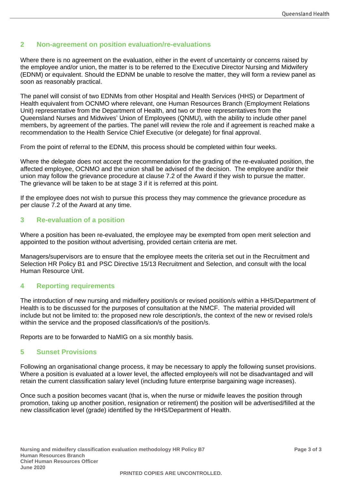# **2 Non-agreement on position evaluation/re-evaluations**

Where there is no agreement on the evaluation, either in the event of uncertainty or concerns raised by the employee and/or union, the matter is to be referred to the Executive Director Nursing and Midwifery (EDNM) or equivalent. Should the EDNM be unable to resolve the matter, they will form a review panel as soon as reasonably practical.

The panel will consist of two EDNMs from other Hospital and Health Services (HHS) or Department of Health equivalent from OCNMO where relevant, one Human Resources Branch (Employment Relations Unit) representative from the Department of Health, and two or three representatives from the Queensland Nurses and Midwives' Union of Employees (QNMU), with the ability to include other panel members, by agreement of the parties. The panel will review the role and if agreement is reached make a recommendation to the Health Service Chief Executive (or delegate) for final approval.

From the point of referral to the EDNM, this process should be completed within four weeks.

Where the delegate does not accept the recommendation for the grading of the re-evaluated position, the affected employee, OCNMO and the union shall be advised of the decision. The employee and/or their union may follow the grievance procedure at clause 7.2 of the Award if they wish to pursue the matter. The grievance will be taken to be at stage 3 if it is referred at this point.

If the employee does not wish to pursue this process they may commence the grievance procedure as per clause 7.2 of the Award at any time.

# **3 Re-evaluation of a position**

Where a position has been re-evaluated, the employee may be exempted from open merit selection and appointed to the position without advertising, provided certain criteria are met.

Managers/supervisors are to ensure that the employee meets the criteria set out in the Recruitment and Selection HR Policy B1 and PSC Directive 15/13 Recruitment and Selection, and consult with the local Human Resource Unit.

# **4 Reporting requirements**

The introduction of new nursing and midwifery position/s or revised position/s within a HHS/Department of Health is to be discussed for the purposes of consultation at the NMCF. The material provided will include but not be limited to: the proposed new role description/s, the context of the new or revised role/s within the service and the proposed classification/s of the position/s.

Reports are to be forwarded to NaMIG on a six monthly basis.

### **5 Sunset Provisions**

Following an organisational change process, it may be necessary to apply the following sunset provisions. Where a position is evaluated at a lower level, the affected employee/s will not be disadvantaged and will retain the current classification salary level (including future enterprise bargaining wage increases).

Once such a position becomes vacant (that is, when the nurse or midwife leaves the position through promotion, taking up another position, resignation or retirement) the position will be advertised/filled at the new classification level (grade) identified by the HHS/Department of Health.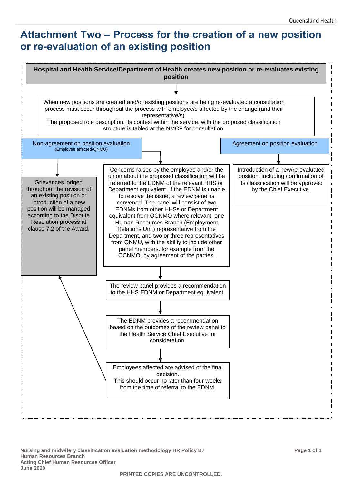# <span id="page-5-0"></span>**Attachment Two – Process for the creation of a new position or re-evaluation of an existing position**



**Nursing and midwifery classification evaluation methodology HR Policy B7 Page 1 of 1 Human Resources Branch Acting Chief Human Resources Officer June 2020**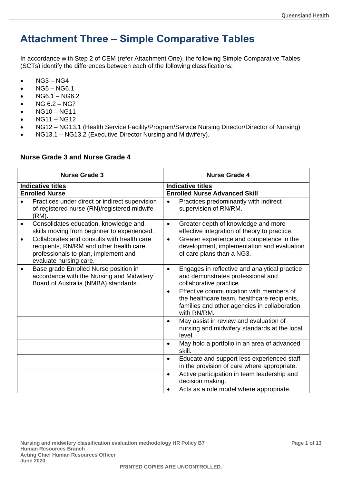# **Attachment Three – Simple Comparative Tables**

In accordance with Step 2 of CEM (refer Attachment One), the following Simple Comparative Tables (SCTs) identify the differences between each of the following classifications:

- $\bullet$  NG3 NG4
- NG5 NG6.1
- NG6.1 NG6.2
- NG 6.2 NG7
- NG10 NG11
- NG11 NG12
- NG12 NG13.1 (Health Service Facility/Program/Service Nursing Director/Director of Nursing)
- NG13.1 NG13.2 (Executive Director Nursing and Midwifery).

# **Nurse Grade 3 and Nurse Grade 4**

|           | <b>Nurse Grade 3</b>                                                                                                                                    |           | <b>Nurse Grade 4</b>                                                                                                                                  |
|-----------|---------------------------------------------------------------------------------------------------------------------------------------------------------|-----------|-------------------------------------------------------------------------------------------------------------------------------------------------------|
|           | <b>Indicative titles</b><br><b>Enrolled Nurse</b>                                                                                                       |           | <b>Indicative titles</b><br><b>Enrolled Nurse Advanced Skill</b>                                                                                      |
|           | Practices under direct or indirect supervision<br>of registered nurse (RN)/registered midwife<br>(RM).                                                  | $\bullet$ | Practices predominantly with indirect<br>supervision of RN/RM.                                                                                        |
| $\bullet$ | Consolidates education, knowledge and<br>skills moving from beginner to experienced.                                                                    | $\bullet$ | Greater depth of knowledge and more<br>effective integration of theory to practice.                                                                   |
| $\bullet$ | Collaborates and consults with health care<br>recipients, RN/RM and other health care<br>professionals to plan, implement and<br>evaluate nursing care. | $\bullet$ | Greater experience and competence in the<br>development, implementation and evaluation<br>of care plans than a NG3.                                   |
| $\bullet$ | Base grade Enrolled Nurse position in<br>accordance with the Nursing and Midwifery<br>Board of Australia (NMBA) standards.                              | $\bullet$ | Engages in reflective and analytical practice<br>and demonstrates professional and<br>collaborative practice.                                         |
|           |                                                                                                                                                         | $\bullet$ | Effective communication with members of<br>the healthcare team, healthcare recipients,<br>families and other agencies in collaboration<br>with RN/RM. |
|           |                                                                                                                                                         | $\bullet$ | May assist in review and evaluation of<br>nursing and midwifery standards at the local<br>level.                                                      |
|           |                                                                                                                                                         | $\bullet$ | May hold a portfolio in an area of advanced<br>skill.                                                                                                 |
|           |                                                                                                                                                         | $\bullet$ | Educate and support less experienced staff<br>in the provision of care where appropriate.                                                             |
|           |                                                                                                                                                         | $\bullet$ | Active participation in team leadership and<br>decision making.                                                                                       |
|           |                                                                                                                                                         | $\bullet$ | Acts as a role model where appropriate.                                                                                                               |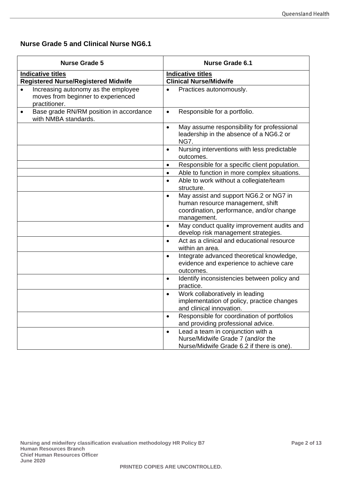# **Nurse Grade 5 and Clinical Nurse NG6.1**

| <b>Nurse Grade 5</b>                                                                                    | <b>Nurse Grade 6.1</b>                                                                                                                             |
|---------------------------------------------------------------------------------------------------------|----------------------------------------------------------------------------------------------------------------------------------------------------|
| <b>Indicative titles</b><br><b>Registered Nurse/Registered Midwife</b>                                  | <b>Indicative titles</b><br><b>Clinical Nurse/Midwife</b>                                                                                          |
| Increasing autonomy as the employee<br>$\bullet$<br>moves from beginner to experienced<br>practitioner. | Practices autonomously.<br>$\bullet$                                                                                                               |
| Base grade RN/RM position in accordance<br>$\bullet$<br>with NMBA standards.                            | Responsible for a portfolio.<br>$\bullet$                                                                                                          |
|                                                                                                         | May assume responsibility for professional<br>$\bullet$<br>leadership in the absence of a NG6.2 or<br><b>NG7.</b>                                  |
|                                                                                                         | Nursing interventions with less predictable<br>$\bullet$<br>outcomes.                                                                              |
|                                                                                                         | Responsible for a specific client population.<br>$\bullet$                                                                                         |
|                                                                                                         | Able to function in more complex situations.<br>$\bullet$                                                                                          |
|                                                                                                         | Able to work without a collegiate/team<br>$\bullet$<br>structure.                                                                                  |
|                                                                                                         | May assist and support NG6.2 or NG7 in<br>$\bullet$<br>human resource management, shift<br>coordination, performance, and/or change<br>management. |
|                                                                                                         | May conduct quality improvement audits and<br>$\bullet$<br>develop risk management strategies.                                                     |
|                                                                                                         | Act as a clinical and educational resource<br>$\bullet$<br>within an area.                                                                         |
|                                                                                                         | Integrate advanced theoretical knowledge,<br>$\bullet$<br>evidence and experience to achieve care<br>outcomes.                                     |
|                                                                                                         | Identify inconsistencies between policy and<br>$\bullet$<br>practice.                                                                              |
|                                                                                                         | Work collaboratively in leading<br>$\bullet$<br>implementation of policy, practice changes<br>and clinical innovation.                             |
|                                                                                                         | Responsible for coordination of portfolios<br>$\bullet$<br>and providing professional advice.                                                      |
|                                                                                                         | Lead a team in conjunction with a<br>$\bullet$<br>Nurse/Midwife Grade 7 (and/or the<br>Nurse/Midwife Grade 6.2 if there is one).                   |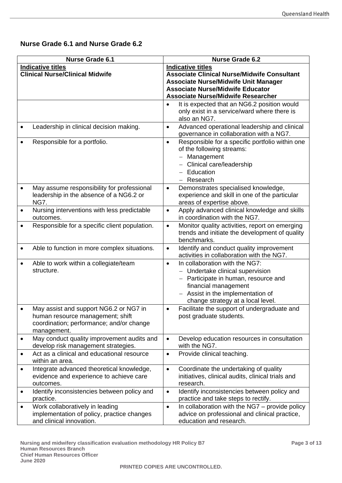# **Nurse Grade 6.1 and Nurse Grade 6.2**

|           | <b>Nurse Grade 6.1</b>                                                                                                                |           | <b>Nurse Grade 6.2</b>                                                                                                                                                                                                                 |
|-----------|---------------------------------------------------------------------------------------------------------------------------------------|-----------|----------------------------------------------------------------------------------------------------------------------------------------------------------------------------------------------------------------------------------------|
|           | <b>Indicative titles</b><br><b>Clinical Nurse/Clinical Midwife</b>                                                                    |           | <b>Indicative titles</b><br><b>Associate Clinical Nurse/Midwife Consultant</b><br><b>Associate Nurse/Midwife Unit Manager</b><br><b>Associate Nurse/Midwife Educator</b><br><b>Associate Nurse/Midwife Researcher</b>                  |
|           |                                                                                                                                       | $\bullet$ | It is expected that an NG6.2 position would<br>only exist in a service/ward where there is<br>also an NG7.                                                                                                                             |
|           | Leadership in clinical decision making.                                                                                               | $\bullet$ | Advanced operational leadership and clinical<br>governance in collaboration with a NG7.                                                                                                                                                |
|           | Responsible for a portfolio.                                                                                                          | $\bullet$ | Responsible for a specific portfolio within one<br>of the following streams:<br>Management<br>Clinical care/leadership<br>Education<br>Research<br>$-$                                                                                 |
|           | May assume responsibility for professional<br>leadership in the absence of a NG6.2 or<br>NG7.                                         | $\bullet$ | Demonstrates specialised knowledge,<br>experience and skill in one of the particular<br>areas of expertise above.                                                                                                                      |
| ٠         | Nursing interventions with less predictable<br>outcomes.                                                                              | $\bullet$ | Apply advanced clinical knowledge and skills<br>in coordination with the NG7.                                                                                                                                                          |
|           | Responsible for a specific client population.                                                                                         | $\bullet$ | Monitor quality activities, report on emerging<br>trends and initiate the development of quality<br>benchmarks.                                                                                                                        |
| ٠         | Able to function in more complex situations.                                                                                          | $\bullet$ | Identify and conduct quality improvement<br>activities in collaboration with the NG7.                                                                                                                                                  |
| $\bullet$ | Able to work within a collegiate/team<br>structure.                                                                                   | $\bullet$ | In collaboration with the NG7:<br>- Undertake clinical supervision<br>Participate in human, resource and<br>$\overline{\phantom{0}}$<br>financial management<br>- Assist in the implementation of<br>change strategy at a local level. |
|           | May assist and support NG6.2 or NG7 in<br>human resource management; shift<br>coordination; performance; and/or change<br>management. | $\bullet$ | Facilitate the support of undergraduate and<br>post graduate students.                                                                                                                                                                 |
| ٠         | May conduct quality improvement audits and<br>develop risk management strategies.                                                     | $\bullet$ | Develop education resources in consultation<br>with the NG7.                                                                                                                                                                           |
| $\bullet$ | Act as a clinical and educational resource<br>within an area.                                                                         | $\bullet$ | Provide clinical teaching.                                                                                                                                                                                                             |
| $\bullet$ | Integrate advanced theoretical knowledge,<br>evidence and experience to achieve care<br>outcomes.                                     | $\bullet$ | Coordinate the undertaking of quality<br>initiatives, clinical audits, clinical trials and<br>research.                                                                                                                                |
| ٠         | Identify inconsistencies between policy and<br>practice.                                                                              | $\bullet$ | Identify inconsistencies between policy and<br>practice and take steps to rectify.                                                                                                                                                     |
| $\bullet$ | Work collaboratively in leading<br>implementation of policy, practice changes<br>and clinical innovation.                             | $\bullet$ | In collaboration with the NG7 - provide policy<br>advice on professional and clinical practice,<br>education and research.                                                                                                             |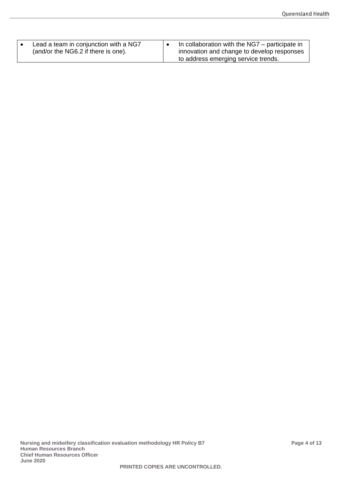| Lead a team in conjunction with a NG7<br>(and/or the NG6.2 if there is one). | In collaboration with the NG7 – participate in<br>innovation and change to develop responses<br>to address emerging service trends. |
|------------------------------------------------------------------------------|-------------------------------------------------------------------------------------------------------------------------------------|
|------------------------------------------------------------------------------|-------------------------------------------------------------------------------------------------------------------------------------|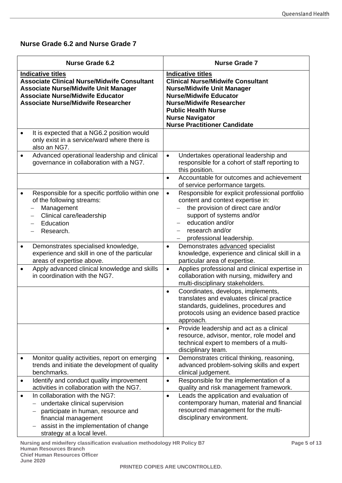# **Nurse Grade 6.2 and Nurse Grade 7**

| <b>Nurse Grade 6.2</b>                                                                                                                                                                                                                   | <b>Nurse Grade 7</b>                                                                                                                                                                                                                                                         |
|------------------------------------------------------------------------------------------------------------------------------------------------------------------------------------------------------------------------------------------|------------------------------------------------------------------------------------------------------------------------------------------------------------------------------------------------------------------------------------------------------------------------------|
| <b>Indicative titles</b><br><b>Associate Clinical Nurse/Midwife Consultant</b><br><b>Associate Nurse/Midwife Unit Manager</b><br><b>Associate Nurse/Midwife Educator</b><br><b>Associate Nurse/Midwife Researcher</b>                    | <b>Indicative titles</b><br><b>Clinical Nurse/Midwife Consultant</b><br><b>Nurse/Midwife Unit Manager</b><br><b>Nurse/Midwife Educator</b><br><b>Nurse/Midwife Researcher</b><br><b>Public Health Nurse</b><br><b>Nurse Navigator</b><br><b>Nurse Practitioner Candidate</b> |
| It is expected that a NG6.2 position would<br>only exist in a service/ward where there is<br>also an NG7.                                                                                                                                |                                                                                                                                                                                                                                                                              |
| Advanced operational leadership and clinical<br>governance in collaboration with a NG7.                                                                                                                                                  | Undertakes operational leadership and<br>$\bullet$<br>responsible for a cohort of staff reporting to<br>this position.                                                                                                                                                       |
|                                                                                                                                                                                                                                          | Accountable for outcomes and achievement<br>$\bullet$<br>of service performance targets.                                                                                                                                                                                     |
| Responsible for a specific portfolio within one<br>of the following streams:<br>Management<br>$\overline{\phantom{m}}$<br>Clinical care/leadership<br>Education<br>Research.                                                             | Responsible for explicit professional portfolio<br>$\bullet$<br>content and context expertise in:<br>the provision of direct care and/or<br>support of systems and/or<br>education and/or<br>research and/or<br>professional leadership.                                     |
| Demonstrates specialised knowledge,<br>٠<br>experience and skill in one of the particular<br>areas of expertise above.                                                                                                                   | Demonstrates advanced specialist<br>$\bullet$<br>knowledge, experience and clinical skill in a<br>particular area of expertise.                                                                                                                                              |
| Apply advanced clinical knowledge and skills<br>in coordination with the NG7.                                                                                                                                                            | Applies professional and clinical expertise in<br>$\bullet$<br>collaboration with nursing, midwifery and<br>multi-disciplinary stakeholders.                                                                                                                                 |
|                                                                                                                                                                                                                                          | Coordinates, develops, implements,<br>$\bullet$<br>translates and evaluates clinical practice<br>standards, guidelines, procedures and<br>protocols using an evidence based practice<br>approach.                                                                            |
|                                                                                                                                                                                                                                          | Provide leadership and act as a clinical<br>$\bullet$<br>resource, advisor, mentor, role model and<br>technical expert to members of a multi-<br>disciplinary team.                                                                                                          |
| Monitor quality activities, report on emerging<br>trends and initiate the development of quality<br>benchmarks.                                                                                                                          | Demonstrates critical thinking, reasoning,<br>$\bullet$<br>advanced problem-solving skills and expert<br>clinical judgement.                                                                                                                                                 |
| Identify and conduct quality improvement<br>٠<br>activities in collaboration with the NG7.                                                                                                                                               | Responsible for the implementation of a<br>$\bullet$<br>quality and risk management framework.                                                                                                                                                                               |
| In collaboration with the NG7:<br>$\bullet$<br>undertake clinical supervision<br>$\qquad \qquad -$<br>participate in human, resource and<br>financial management<br>assist in the implementation of change<br>strategy at a local level. | Leads the application and evaluation of<br>$\bullet$<br>contemporary human, material and financial<br>resourced management for the multi-<br>disciplinary environment.                                                                                                       |

**Nursing and midwifery classification evaluation methodology HR Policy B7 Page 5 of 13 Human Resources Branch Chief Human Resources Officer June 2020**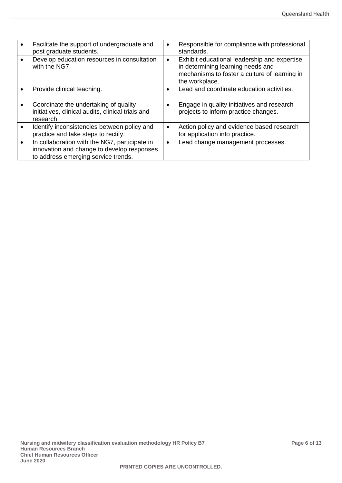| Facilitate the support of undergraduate and<br>post graduate students.                                                             | $\bullet$ | Responsible for compliance with professional<br>standards.                                                                                           |
|------------------------------------------------------------------------------------------------------------------------------------|-----------|------------------------------------------------------------------------------------------------------------------------------------------------------|
| Develop education resources in consultation<br>with the NG7.                                                                       | $\bullet$ | Exhibit educational leadership and expertise<br>in determining learning needs and<br>mechanisms to foster a culture of learning in<br>the workplace. |
| Provide clinical teaching.                                                                                                         | $\bullet$ | Lead and coordinate education activities.                                                                                                            |
| Coordinate the undertaking of quality<br>initiatives, clinical audits, clinical trials and<br>research.                            | $\bullet$ | Engage in quality initiatives and research<br>projects to inform practice changes.                                                                   |
| Identify inconsistencies between policy and<br>practice and take steps to rectify.                                                 | $\bullet$ | Action policy and evidence based research<br>for application into practice.                                                                          |
| In collaboration with the NG7, participate in<br>innovation and change to develop responses<br>to address emerging service trends. | $\bullet$ | Lead change management processes.                                                                                                                    |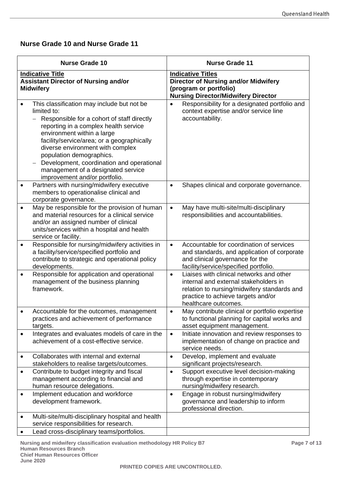# **Nurse Grade 10 and Nurse Grade 11**

|           | <b>Nurse Grade 10</b>                                                                                                                                                                                                                                                                                                                                                                                            |           | <b>Nurse Grade 11</b>                                                                                                                                                                          |
|-----------|------------------------------------------------------------------------------------------------------------------------------------------------------------------------------------------------------------------------------------------------------------------------------------------------------------------------------------------------------------------------------------------------------------------|-----------|------------------------------------------------------------------------------------------------------------------------------------------------------------------------------------------------|
|           | <b>Indicative Title</b><br><b>Assistant Director of Nursing and/or</b><br><b>Midwifery</b>                                                                                                                                                                                                                                                                                                                       |           | <b>Indicative Titles</b><br><b>Director of Nursing and/or Midwifery</b><br>(program or portfolio)<br><b>Nursing Director/Midwifery Director</b>                                                |
|           | This classification may include but not be<br>limited to:<br>Responsible for a cohort of staff directly<br>reporting in a complex health service<br>environment within a large<br>facility/service/area; or a geographically<br>diverse environment with complex<br>population demographics.<br>Development, coordination and operational<br>management of a designated service<br>improvement and/or portfolio. | $\bullet$ | Responsibility for a designated portfolio and<br>context expertise and/or service line<br>accountability.                                                                                      |
|           | Partners with nursing/midwifery executive<br>members to operationalise clinical and<br>corporate governance.                                                                                                                                                                                                                                                                                                     | $\bullet$ | Shapes clinical and corporate governance.                                                                                                                                                      |
|           | May be responsible for the provision of human<br>and material resources for a clinical service<br>and/or an assigned number of clinical<br>units/services within a hospital and health<br>service or facility.                                                                                                                                                                                                   | $\bullet$ | May have multi-site/multi-disciplinary<br>responsibilities and accountabilities.                                                                                                               |
| $\bullet$ | Responsible for nursing/midwifery activities in<br>a facility/service/specified portfolio and<br>contribute to strategic and operational policy<br>developments.                                                                                                                                                                                                                                                 | $\bullet$ | Accountable for coordination of services<br>and standards, and application of corporate<br>and clinical governance for the<br>facility/service/specified portfolio.                            |
| ٠         | Responsible for application and operational<br>management of the business planning<br>framework.                                                                                                                                                                                                                                                                                                                 | $\bullet$ | Liaises with clinical networks and other<br>internal and external stakeholders in<br>relation to nursing/midwifery standards and<br>practice to achieve targets and/or<br>healthcare outcomes. |
|           | Accountable for the outcomes, management<br>practices and achievement of performance<br>targets.                                                                                                                                                                                                                                                                                                                 |           | May contribute clinical or portfolio expertise<br>to functional planning for capital works and<br>asset equipment management.                                                                  |
| $\bullet$ | Integrates and evaluates models of care in the<br>achievement of a cost-effective service.                                                                                                                                                                                                                                                                                                                       | $\bullet$ | Initiate innovation and review responses to<br>implementation of change on practice and<br>service needs.                                                                                      |
| ٠         | Collaborates with internal and external<br>stakeholders to realise targets/outcomes.                                                                                                                                                                                                                                                                                                                             | $\bullet$ | Develop, implement and evaluate<br>significant projects/research.                                                                                                                              |
| $\bullet$ | Contribute to budget integrity and fiscal<br>management according to financial and<br>human resource delegations.                                                                                                                                                                                                                                                                                                | $\bullet$ | Support executive level decision-making<br>through expertise in contemporary<br>nursing/midwifery research.                                                                                    |
| ٠         | Implement education and workforce<br>development framework.                                                                                                                                                                                                                                                                                                                                                      | $\bullet$ | Engage in robust nursing/midwifery<br>governance and leadership to inform<br>professional direction.                                                                                           |
| ٠         | Multi-site/multi-disciplinary hospital and health<br>service responsibilities for research.                                                                                                                                                                                                                                                                                                                      |           |                                                                                                                                                                                                |
|           | Lead cross-disciplinary teams/portfolios.                                                                                                                                                                                                                                                                                                                                                                        |           |                                                                                                                                                                                                |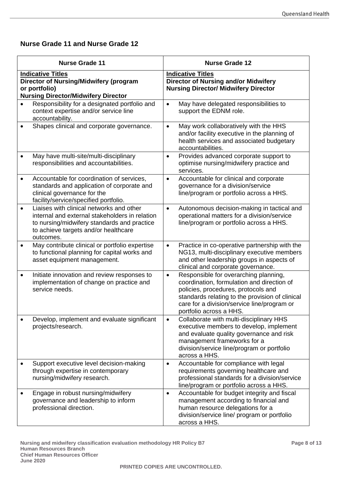# **Nurse Grade 11 and Nurse Grade 12**

|           | <b>Nurse Grade 11</b>                                                                                                                                                                          |           | <b>Nurse Grade 12</b>                                                                                                                                                                                                                                   |
|-----------|------------------------------------------------------------------------------------------------------------------------------------------------------------------------------------------------|-----------|---------------------------------------------------------------------------------------------------------------------------------------------------------------------------------------------------------------------------------------------------------|
|           | <b>Indicative Titles</b><br><b>Director of Nursing/Midwifery (program</b><br>or portfolio)<br><b>Nursing Director/Midwifery Director</b>                                                       |           | <b>Indicative Titles</b><br><b>Director of Nursing and/or Midwifery</b><br><b>Nursing Director/ Midwifery Director</b>                                                                                                                                  |
|           | Responsibility for a designated portfolio and<br>context expertise and/or service line<br>accountability.                                                                                      | $\bullet$ | May have delegated responsibilities to<br>support the EDNM role.                                                                                                                                                                                        |
|           | Shapes clinical and corporate governance.                                                                                                                                                      | $\bullet$ | May work collaboratively with the HHS<br>and/or facility executive in the planning of<br>health services and associated budgetary<br>accountabilities.                                                                                                  |
|           | May have multi-site/multi-disciplinary<br>responsibilities and accountabilities.                                                                                                               | $\bullet$ | Provides advanced corporate support to<br>optimise nursing/midwifery practice and<br>services.                                                                                                                                                          |
|           | Accountable for coordination of services,<br>standards and application of corporate and<br>clinical governance for the<br>facility/service/specified portfolio.                                | $\bullet$ | Accountable for clinical and corporate<br>governance for a division/service<br>line/program or portfolio across a HHS.                                                                                                                                  |
| $\bullet$ | Liaises with clinical networks and other<br>internal and external stakeholders in relation<br>to nursing/midwifery standards and practice<br>to achieve targets and/or healthcare<br>outcomes. | $\bullet$ | Autonomous decision-making in tactical and<br>operational matters for a division/service<br>line/program or portfolio across a HHS.                                                                                                                     |
|           | May contribute clinical or portfolio expertise<br>to functional planning for capital works and<br>asset equipment management.                                                                  | $\bullet$ | Practice in co-operative partnership with the<br>NG13, multi-disciplinary executive members<br>and other leadership groups in aspects of<br>clinical and corporate governance.                                                                          |
| ٠         | Initiate innovation and review responses to<br>implementation of change on practice and<br>service needs.                                                                                      | $\bullet$ | Responsible for overarching planning,<br>coordination, formulation and direction of<br>policies, procedures, protocols and<br>standards relating to the provision of clinical<br>care for a division/service line/program or<br>portfolio across a HHS. |
|           | Develop, implement and evaluate significant<br>projects/research.                                                                                                                              | $\bullet$ | Collaborate with multi-disciplinary HHS<br>executive members to develop, implement<br>and evaluate quality governance and risk<br>management frameworks for a<br>division/service line/program or portfolio<br>across a HHS.                            |
|           | Support executive level decision-making<br>through expertise in contemporary<br>nursing/midwifery research.                                                                                    | $\bullet$ | Accountable for compliance with legal<br>requirements governing healthcare and<br>professional standards for a division/service<br>line/program or portfolio across a HHS.                                                                              |
|           | Engage in robust nursing/midwifery<br>governance and leadership to inform<br>professional direction.                                                                                           | $\bullet$ | Accountable for budget integrity and fiscal<br>management according to financial and<br>human resource delegations for a<br>division/service line/ program or portfolio<br>across a HHS.                                                                |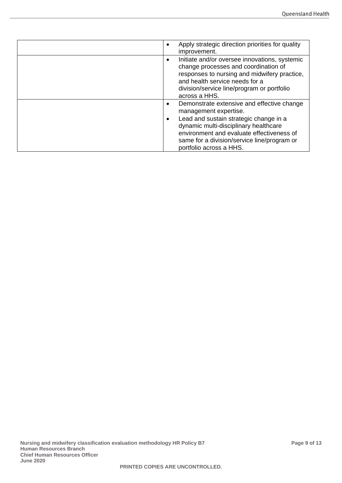| Apply strategic direction priorities for quality<br>$\bullet$<br>improvement.                                                                                                                                                                       |
|-----------------------------------------------------------------------------------------------------------------------------------------------------------------------------------------------------------------------------------------------------|
| Initiate and/or oversee innovations, systemic<br>$\bullet$<br>change processes and coordination of<br>responses to nursing and midwifery practice,<br>and health service needs for a<br>division/service line/program or portfolio<br>across a HHS. |
| Demonstrate extensive and effective change<br>$\bullet$<br>management expertise.                                                                                                                                                                    |
| Lead and sustain strategic change in a<br>$\bullet$<br>dynamic multi-disciplinary healthcare<br>environment and evaluate effectiveness of<br>same for a division/service line/program or<br>portfolio across a HHS.                                 |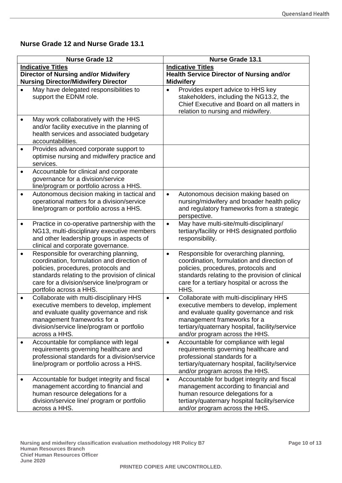# **Nurse Grade 12 and Nurse Grade 13.1**

|           | <b>Nurse Grade 12</b>                                                                                                                                                                                                                                   | <b>Nurse Grade 13.1</b>                                                                                                                                                                                                                                        |  |
|-----------|---------------------------------------------------------------------------------------------------------------------------------------------------------------------------------------------------------------------------------------------------------|----------------------------------------------------------------------------------------------------------------------------------------------------------------------------------------------------------------------------------------------------------------|--|
|           | <b>Indicative Titles</b>                                                                                                                                                                                                                                | <b>Indicative Titles</b><br><b>Health Service Director of Nursing and/or</b>                                                                                                                                                                                   |  |
|           | <b>Director of Nursing and/or Midwifery</b><br><b>Nursing Director/Midwifery Director</b>                                                                                                                                                               | <b>Midwifery</b>                                                                                                                                                                                                                                               |  |
|           | May have delegated responsibilities to<br>support the EDNM role.                                                                                                                                                                                        | Provides expert advice to HHS key<br>$\bullet$<br>stakeholders, including the NG13.2, the<br>Chief Executive and Board on all matters in<br>relation to nursing and midwifery.                                                                                 |  |
|           | May work collaboratively with the HHS<br>and/or facility executive in the planning of<br>health services and associated budgetary<br>accountabilities.                                                                                                  |                                                                                                                                                                                                                                                                |  |
| $\bullet$ | Provides advanced corporate support to<br>optimise nursing and midwifery practice and<br>services.                                                                                                                                                      |                                                                                                                                                                                                                                                                |  |
| ٠         | Accountable for clinical and corporate<br>governance for a division/service<br>line/program or portfolio across a HHS.                                                                                                                                  |                                                                                                                                                                                                                                                                |  |
| $\bullet$ | Autonomous decision making in tactical and<br>operational matters for a division/service<br>line/program or portfolio across a HHS.                                                                                                                     | Autonomous decision making based on<br>$\bullet$<br>nursing/midwifery and broader health policy<br>and regulatory frameworks from a strategic<br>perspective.                                                                                                  |  |
|           | Practice in co-operative partnership with the<br>NG13, multi-disciplinary executive members<br>and other leadership groups in aspects of<br>clinical and corporate governance.                                                                          | May have multi-site/multi-disciplinary/<br>$\bullet$<br>tertiary/facility or HHS designated portfolio<br>responsibility.                                                                                                                                       |  |
| $\bullet$ | Responsible for overarching planning,<br>coordination, formulation and direction of<br>policies, procedures, protocols and<br>standards relating to the provision of clinical<br>care for a division/service line/program or<br>portfolio across a HHS. | Responsible for overarching planning,<br>$\bullet$<br>coordination, formulation and direction of<br>policies, procedures, protocols and<br>standards relating to the provision of clinical<br>care for a tertiary hospital or across the<br>HHS.               |  |
| $\bullet$ | Collaborate with multi-disciplinary HHS<br>executive members to develop, implement<br>and evaluate quality governance and risk<br>management frameworks for a<br>division/service line/program or portfolio<br>across a HHS.                            | Collaborate with multi-disciplinary HHS<br>$\bullet$<br>executive members to develop, implement<br>and evaluate quality governance and risk<br>management frameworks for a<br>tertiary/quaternary hospital, facility/service<br>and/or program across the HHS. |  |
|           | Accountable for compliance with legal<br>requirements governing healthcare and<br>professional standards for a division/service<br>line/program or portfolio across a HHS.                                                                              | Accountable for compliance with legal<br>$\bullet$<br>requirements governing healthcare and<br>professional standards for a<br>tertiary/quaternary hospital, facility/service<br>and/or program across the HHS.                                                |  |
|           | Accountable for budget integrity and fiscal<br>management according to financial and<br>human resource delegations for a<br>division/service line/ program or portfolio<br>across a HHS.                                                                | Accountable for budget integrity and fiscal<br>$\bullet$<br>management according to financial and<br>human resource delegations for a<br>tertiary/quaternary hospital facility/service<br>and/or program across the HHS.                                       |  |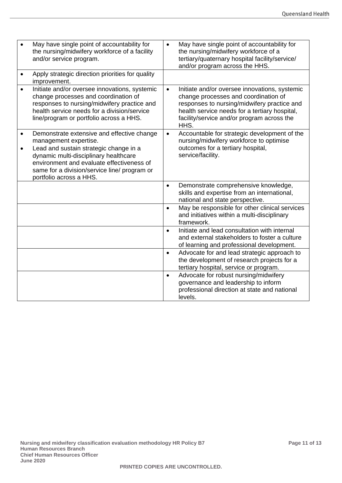|           | May have single point of accountability for<br>the nursing/midwifery workforce of a facility<br>and/or service program.                                                                                                                                                        | $\bullet$ | May have single point of accountability for<br>the nursing/midwifery workforce of a<br>tertiary/quaternary hospital facility/service/<br>and/or program across the HHS.                                                                     |
|-----------|--------------------------------------------------------------------------------------------------------------------------------------------------------------------------------------------------------------------------------------------------------------------------------|-----------|---------------------------------------------------------------------------------------------------------------------------------------------------------------------------------------------------------------------------------------------|
|           | Apply strategic direction priorities for quality<br>improvement.                                                                                                                                                                                                               |           |                                                                                                                                                                                                                                             |
| $\bullet$ | Initiate and/or oversee innovations, systemic<br>change processes and coordination of<br>responses to nursing/midwifery practice and<br>health service needs for a division/service<br>line/program or portfolio across a HHS.                                                 | $\bullet$ | Initiate and/or oversee innovations, systemic<br>change processes and coordination of<br>responses to nursing/midwifery practice and<br>health service needs for a tertiary hospital,<br>facility/service and/or program across the<br>HHS. |
| $\bullet$ | Demonstrate extensive and effective change<br>management expertise.<br>Lead and sustain strategic change in a<br>dynamic multi-disciplinary healthcare<br>environment and evaluate effectiveness of<br>same for a division/service line/ program or<br>portfolio across a HHS. | $\bullet$ | Accountable for strategic development of the<br>nursing/midwifery workforce to optimise<br>outcomes for a tertiary hospital,<br>service/facility.                                                                                           |
|           |                                                                                                                                                                                                                                                                                | $\bullet$ | Demonstrate comprehensive knowledge,<br>skills and expertise from an international,<br>national and state perspective.                                                                                                                      |
|           |                                                                                                                                                                                                                                                                                | $\bullet$ | May be responsible for other clinical services<br>and initiatives within a multi-disciplinary<br>framework.                                                                                                                                 |
|           |                                                                                                                                                                                                                                                                                | $\bullet$ | Initiate and lead consultation with internal<br>and external stakeholders to foster a culture<br>of learning and professional development.                                                                                                  |
|           |                                                                                                                                                                                                                                                                                | $\bullet$ | Advocate for and lead strategic approach to<br>the development of research projects for a<br>tertiary hospital, service or program.                                                                                                         |
|           |                                                                                                                                                                                                                                                                                | $\bullet$ | Advocate for robust nursing/midwifery<br>governance and leadership to inform<br>professional direction at state and national<br>levels.                                                                                                     |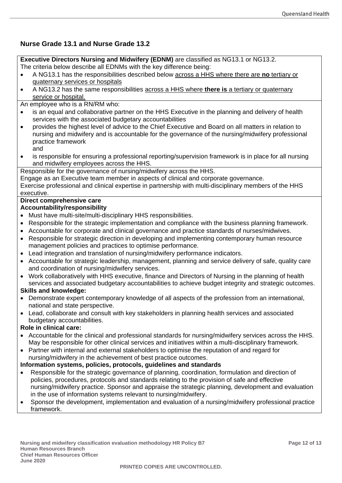# **Nurse Grade 13.1 and Nurse Grade 13.2**

**Executive Directors Nursing and Midwifery (EDNM)** are classified as NG13.1 or NG13.2. The criteria below describe all EDNMs with the key difference being:

- A NG13.1 has the responsibilities described below across a HHS where there are **no** tertiary or quaternary services or hospitals
- A NG13.2 has the same responsibilities across a HHS where **there is** a tertiary or quaternary service or hospital.

An employee who is a RN/RM who:

- is an equal and collaborative partner on the HHS Executive in the planning and delivery of health services with the associated budgetary accountabilities
- provides the highest level of advice to the Chief Executive and Board on all matters in relation to nursing and midwifery and is accountable for the governance of the nursing/midwifery professional practice framework
	- and
- is responsible for ensuring a professional reporting/supervision framework is in place for all nursing and midwifery employees across the HHS.

Responsible for the governance of nursing/midwifery across the HHS.

Engage as an Executive team member in aspects of clinical and corporate governance.

Exercise professional and clinical expertise in partnership with multi-disciplinary members of the HHS executive.

# **Direct comprehensive care**

# **Accountability/responsibility**

- Must have multi-site/multi-disciplinary HHS responsibilities.
- Responsible for the strategic implementation and compliance with the business planning framework.
- Accountable for corporate and clinical governance and practice standards of nurses/midwives.
- Responsible for strategic direction in developing and implementing contemporary human resource management policies and practices to optimise performance.
- Lead integration and translation of nursing/midwifery performance indicators.
- Accountable for strategic leadership, management, planning and service delivery of safe, quality care and coordination of nursing/midwifery services.
- Work collaboratively with HHS executive, finance and Directors of Nursing in the planning of health services and associated budgetary accountabilities to achieve budget integrity and strategic outcomes.

# **Skills and knowledge:**

- Demonstrate expert contemporary knowledge of all aspects of the profession from an international, national and state perspective.
- Lead, collaborate and consult with key stakeholders in planning health services and associated budgetary accountabilities.

# **Role in clinical care:**

- Accountable for the clinical and professional standards for nursing/midwifery services across the HHS. May be responsible for other clinical services and initiatives within a multi-disciplinary framework.
- Partner with internal and external stakeholders to optimise the reputation of and regard for nursing/midwifery in the achievement of best practice outcomes.

# **Information systems, policies, protocols, guidelines and standards**

- Responsible for the strategic governance of planning, coordination, formulation and direction of policies, procedures, protocols and standards relating to the provision of safe and effective nursing/midwifery practice. Sponsor and appraise the strategic planning, development and evaluation in the use of information systems relevant to nursing/midwifery.
- Sponsor the development, implementation and evaluation of a nursing/midwifery professional practice framework.